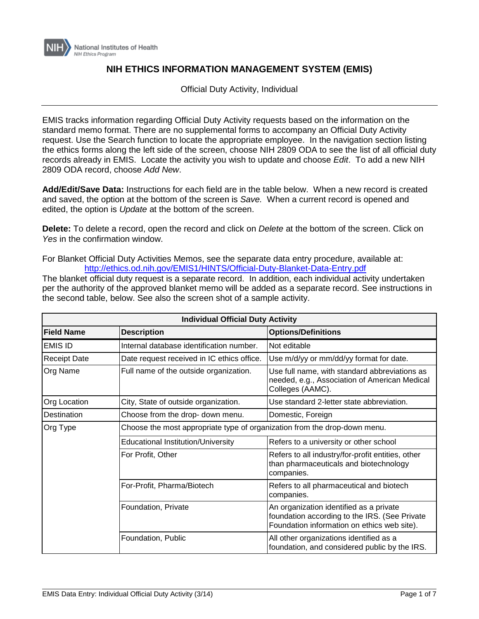

## **NIH ETHICS INFORMATION MANAGEMENT SYSTEM (EMIS)**

Official Duty Activity, Individual

EMIS tracks information regarding Official Duty Activity requests based on the information on the standard memo format. There are no supplemental forms to accompany an Official Duty Activity request. Use the Search function to locate the appropriate employee. In the navigation section listing the ethics forms along the left side of the screen, choose NIH 2809 ODA to see the list of all official duty records already in EMIS. Locate the activity you wish to update and choose *Edit*. To add a new NIH 2809 ODA record, choose *Add New*.

**Add/Edit/Save Data:** Instructions for each field are in the table below. When a new record is created and saved, the option at the bottom of the screen is *Save.* When a current record is opened and edited, the option is *Update* at the bottom of the screen.

**Delete:** To delete a record, open the record and click on *Delete* at the bottom of the screen. Click on *Yes* in the confirmation window.

For Blanket Official Duty Activities Memos, see the separate data entry procedure, available at: <http://ethics.od.nih.gov/EMIS1/HINTS/Official-Duty-Blanket-Data-Entry.pdf>

The blanket official duty request is a separate record. In addition, each individual activity undertaken per the authority of the approved blanket memo will be added as a separate record. See instructions in the second table, below. See also the screen shot of a sample activity.

| <b>Individual Official Duty Activity</b> |                                                                           |                                                                                                                                         |  |  |
|------------------------------------------|---------------------------------------------------------------------------|-----------------------------------------------------------------------------------------------------------------------------------------|--|--|
| <b>Field Name</b>                        | <b>Description</b>                                                        | <b>Options/Definitions</b>                                                                                                              |  |  |
| EMIS ID                                  | Internal database identification number.                                  | Not editable                                                                                                                            |  |  |
| <b>Receipt Date</b>                      | Date request received in IC ethics office.                                | Use m/d/yy or mm/dd/yy format for date.                                                                                                 |  |  |
| Org Name                                 | Full name of the outside organization.                                    | Use full name, with standard abbreviations as<br>needed, e.g., Association of American Medical<br>Colleges (AAMC).                      |  |  |
| Org Location                             | City, State of outside organization.                                      | Use standard 2-letter state abbreviation.                                                                                               |  |  |
| Destination                              | Choose from the drop- down menu.                                          | Domestic, Foreign                                                                                                                       |  |  |
| Org Type                                 | Choose the most appropriate type of organization from the drop-down menu. |                                                                                                                                         |  |  |
|                                          | <b>Educational Institution/University</b>                                 | Refers to a university or other school                                                                                                  |  |  |
|                                          | For Profit, Other                                                         | Refers to all industry/for-profit entities, other<br>than pharmaceuticals and biotechnology<br>companies.                               |  |  |
|                                          | For-Profit, Pharma/Biotech                                                | Refers to all pharmaceutical and biotech<br>companies.                                                                                  |  |  |
|                                          | Foundation, Private                                                       | An organization identified as a private<br>foundation according to the IRS. (See Private<br>Foundation information on ethics web site). |  |  |
|                                          | Foundation, Public                                                        | All other organizations identified as a<br>foundation, and considered public by the IRS.                                                |  |  |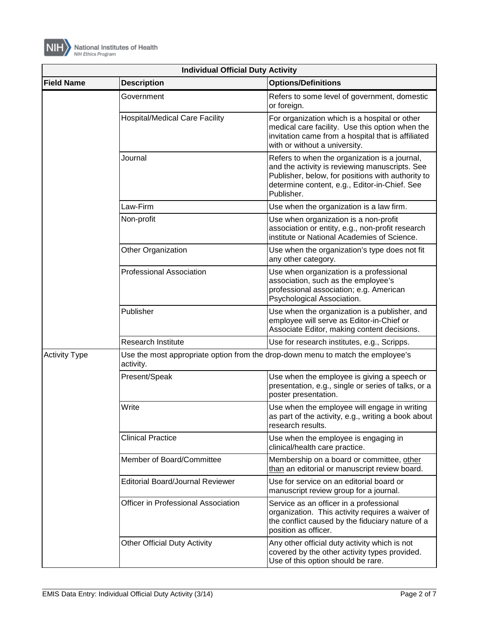

| <b>Individual Official Duty Activity</b> |                                         |                                                                                                                                                                                                                     |  |  |
|------------------------------------------|-----------------------------------------|---------------------------------------------------------------------------------------------------------------------------------------------------------------------------------------------------------------------|--|--|
| <b>Field Name</b>                        | <b>Description</b>                      | <b>Options/Definitions</b>                                                                                                                                                                                          |  |  |
|                                          | Government                              | Refers to some level of government, domestic<br>or foreign.                                                                                                                                                         |  |  |
|                                          | <b>Hospital/Medical Care Facility</b>   | For organization which is a hospital or other<br>medical care facility. Use this option when the<br>invitation came from a hospital that is affiliated<br>with or without a university.                             |  |  |
|                                          | Journal                                 | Refers to when the organization is a journal,<br>and the activity is reviewing manuscripts. See<br>Publisher, below, for positions with authority to<br>determine content, e.g., Editor-in-Chief. See<br>Publisher. |  |  |
|                                          | Law-Firm                                | Use when the organization is a law firm.                                                                                                                                                                            |  |  |
|                                          | Non-profit                              | Use when organization is a non-profit<br>association or entity, e.g., non-profit research<br>institute or National Academies of Science.                                                                            |  |  |
|                                          | Other Organization                      | Use when the organization's type does not fit<br>any other category.                                                                                                                                                |  |  |
|                                          | <b>Professional Association</b>         | Use when organization is a professional<br>association, such as the employee's<br>professional association; e.g. American<br>Psychological Association.                                                             |  |  |
|                                          | Publisher                               | Use when the organization is a publisher, and<br>employee will serve as Editor-in-Chief or<br>Associate Editor, making content decisions.                                                                           |  |  |
|                                          | <b>Research Institute</b>               | Use for research institutes, e.g., Scripps.                                                                                                                                                                         |  |  |
| <b>Activity Type</b>                     | activity.                               | Use the most appropriate option from the drop-down menu to match the employee's                                                                                                                                     |  |  |
|                                          | Present/Speak                           | Use when the employee is giving a speech or<br>presentation, e.g., single or series of talks, or a<br>poster presentation.                                                                                          |  |  |
|                                          | Write                                   | Use when the employee will engage in writing<br>as part of the activity, e.g., writing a book about<br>research results.                                                                                            |  |  |
|                                          | <b>Clinical Practice</b>                | Use when the employee is engaging in<br>clinical/health care practice.                                                                                                                                              |  |  |
|                                          | Member of Board/Committee               | Membership on a board or committee, other<br>than an editorial or manuscript review board.                                                                                                                          |  |  |
|                                          | <b>Editorial Board/Journal Reviewer</b> | Use for service on an editorial board or<br>manuscript review group for a journal.                                                                                                                                  |  |  |
|                                          | Officer in Professional Association     | Service as an officer in a professional<br>organization. This activity requires a waiver of<br>the conflict caused by the fiduciary nature of a<br>position as officer.                                             |  |  |
|                                          | <b>Other Official Duty Activity</b>     | Any other official duty activity which is not<br>covered by the other activity types provided.<br>Use of this option should be rare.                                                                                |  |  |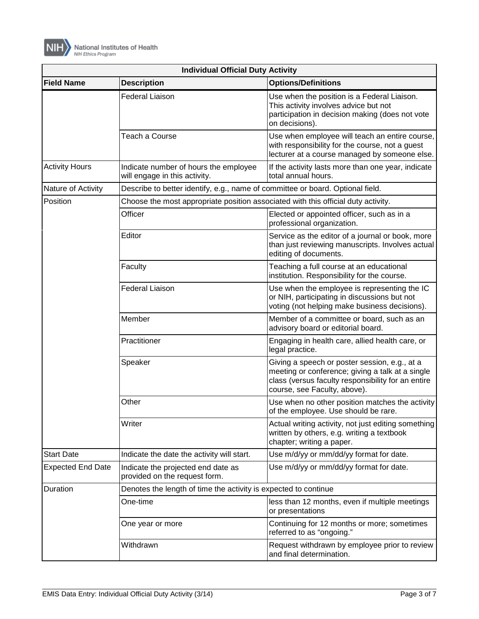

| <b>Individual Official Duty Activity</b> |                                                                                   |                                                                                                                                                                                         |  |  |
|------------------------------------------|-----------------------------------------------------------------------------------|-----------------------------------------------------------------------------------------------------------------------------------------------------------------------------------------|--|--|
| <b>Field Name</b>                        | <b>Description</b>                                                                | <b>Options/Definitions</b>                                                                                                                                                              |  |  |
|                                          | <b>Federal Liaison</b>                                                            | Use when the position is a Federal Liaison.<br>This activity involves advice but not<br>participation in decision making (does not vote<br>on decisions).                               |  |  |
|                                          | Teach a Course                                                                    | Use when employee will teach an entire course,<br>with responsibility for the course, not a guest<br>lecturer at a course managed by someone else.                                      |  |  |
| <b>Activity Hours</b>                    | Indicate number of hours the employee<br>will engage in this activity.            | If the activity lasts more than one year, indicate<br>total annual hours.                                                                                                               |  |  |
| Nature of Activity                       | Describe to better identify, e.g., name of committee or board. Optional field.    |                                                                                                                                                                                         |  |  |
| Position                                 | Choose the most appropriate position associated with this official duty activity. |                                                                                                                                                                                         |  |  |
|                                          | Officer                                                                           | Elected or appointed officer, such as in a<br>professional organization.                                                                                                                |  |  |
|                                          | Editor                                                                            | Service as the editor of a journal or book, more<br>than just reviewing manuscripts. Involves actual<br>editing of documents.                                                           |  |  |
|                                          | Faculty                                                                           | Teaching a full course at an educational<br>institution. Responsibility for the course.                                                                                                 |  |  |
|                                          | <b>Federal Liaison</b>                                                            | Use when the employee is representing the IC<br>or NIH, participating in discussions but not<br>voting (not helping make business decisions).                                           |  |  |
|                                          | Member                                                                            | Member of a committee or board, such as an<br>advisory board or editorial board.                                                                                                        |  |  |
|                                          | Practitioner                                                                      | Engaging in health care, allied health care, or<br>legal practice.                                                                                                                      |  |  |
|                                          | Speaker                                                                           | Giving a speech or poster session, e.g., at a<br>meeting or conference; giving a talk at a single<br>class (versus faculty responsibility for an entire<br>course, see Faculty, above). |  |  |
|                                          | Other                                                                             | Use when no other position matches the activity<br>of the employee. Use should be rare.                                                                                                 |  |  |
|                                          | Writer                                                                            | Actual writing activity, not just editing something<br>written by others, e.g. writing a textbook<br>chapter; writing a paper.                                                          |  |  |
| <b>Start Date</b>                        | Indicate the date the activity will start.                                        | Use m/d/yy or mm/dd/yy format for date.                                                                                                                                                 |  |  |
| <b>Expected End Date</b>                 | Indicate the projected end date as<br>provided on the request form.               | Use m/d/yy or mm/dd/yy format for date.                                                                                                                                                 |  |  |
| <b>Duration</b>                          | Denotes the length of time the activity is expected to continue                   |                                                                                                                                                                                         |  |  |
|                                          | One-time                                                                          | less than 12 months, even if multiple meetings<br>or presentations                                                                                                                      |  |  |
|                                          | One year or more                                                                  | Continuing for 12 months or more; sometimes<br>referred to as "ongoing."                                                                                                                |  |  |
|                                          | Withdrawn                                                                         | Request withdrawn by employee prior to review<br>and final determination.                                                                                                               |  |  |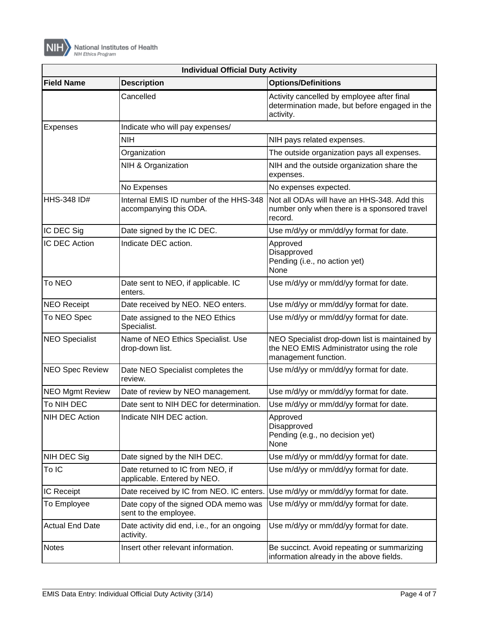

| <b>Individual Official Duty Activity</b>                              |                                                                  |                                                                                                                     |  |  |
|-----------------------------------------------------------------------|------------------------------------------------------------------|---------------------------------------------------------------------------------------------------------------------|--|--|
| <b>Field Name</b><br><b>Description</b><br><b>Options/Definitions</b> |                                                                  |                                                                                                                     |  |  |
|                                                                       | Cancelled                                                        | Activity cancelled by employee after final<br>determination made, but before engaged in the<br>activity.            |  |  |
| Expenses                                                              | Indicate who will pay expenses/                                  |                                                                                                                     |  |  |
|                                                                       | <b>NIH</b>                                                       | NIH pays related expenses.                                                                                          |  |  |
|                                                                       | Organization                                                     | The outside organization pays all expenses.                                                                         |  |  |
|                                                                       | NIH & Organization                                               | NIH and the outside organization share the<br>expenses.                                                             |  |  |
|                                                                       | No Expenses                                                      | No expenses expected.                                                                                               |  |  |
| <b>HHS-348 ID#</b>                                                    | Internal EMIS ID number of the HHS-348<br>accompanying this ODA. | Not all ODAs will have an HHS-348. Add this<br>number only when there is a sponsored travel<br>record.              |  |  |
| IC DEC Sig                                                            | Date signed by the IC DEC.                                       | Use m/d/yy or mm/dd/yy format for date.                                                                             |  |  |
| IC DEC Action                                                         | Indicate DEC action.                                             | Approved<br>Disapproved<br>Pending (i.e., no action yet)<br>None                                                    |  |  |
| To NEO                                                                | Date sent to NEO, if applicable. IC<br>enters.                   | Use m/d/yy or mm/dd/yy format for date.                                                                             |  |  |
| <b>NEO Receipt</b>                                                    | Date received by NEO. NEO enters.                                | Use m/d/yy or mm/dd/yy format for date.                                                                             |  |  |
| To NEO Spec                                                           | Date assigned to the NEO Ethics<br>Specialist.                   | Use m/d/yy or mm/dd/yy format for date.                                                                             |  |  |
| <b>NEO Specialist</b>                                                 | Name of NEO Ethics Specialist. Use<br>drop-down list.            | NEO Specialist drop-down list is maintained by<br>the NEO EMIS Administrator using the role<br>management function. |  |  |
| <b>NEO Spec Review</b>                                                | Date NEO Specialist completes the<br>review.                     | Use m/d/yy or mm/dd/yy format for date.                                                                             |  |  |
| <b>NEO Mgmt Review</b>                                                | Date of review by NEO management.                                | Use m/d/yy or mm/dd/yy format for date.                                                                             |  |  |
| To NIH DEC                                                            | Date sent to NIH DEC for determination.                          | Use m/d/yy or mm/dd/yy format for date.                                                                             |  |  |
| NIH DEC Action                                                        | Indicate NIH DEC action.                                         | Approved<br>Disapproved<br>Pending (e.g., no decision yet)<br>None                                                  |  |  |
| NIH DEC Sig                                                           | Date signed by the NIH DEC.                                      | Use m/d/yy or mm/dd/yy format for date.                                                                             |  |  |
| To IC                                                                 | Date returned to IC from NEO, if<br>applicable. Entered by NEO.  | Use m/d/yy or mm/dd/yy format for date.                                                                             |  |  |
| IC Receipt                                                            | Date received by IC from NEO. IC enters.                         | Use m/d/yy or mm/dd/yy format for date.                                                                             |  |  |
| To Employee                                                           | Date copy of the signed ODA memo was<br>sent to the employee.    | Use m/d/yy or mm/dd/yy format for date.                                                                             |  |  |
| <b>Actual End Date</b>                                                | Date activity did end, i.e., for an ongoing<br>activity.         | Use m/d/yy or mm/dd/yy format for date.                                                                             |  |  |
| <b>Notes</b>                                                          | Insert other relevant information.                               | Be succinct. Avoid repeating or summarizing<br>information already in the above fields.                             |  |  |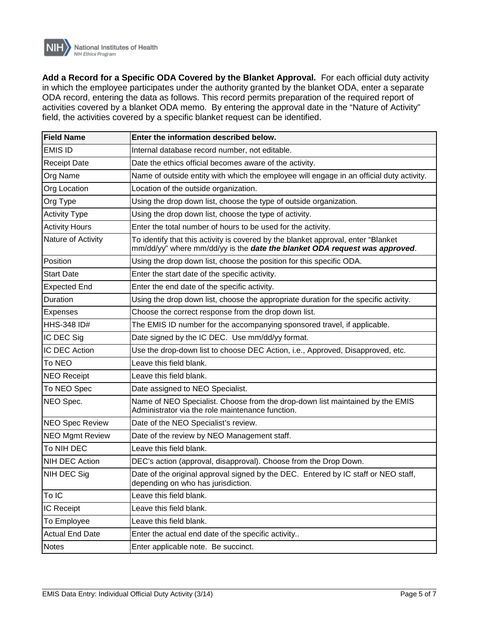

**Add a Record for a Specific ODA Covered by the Blanket Approval***.* For each official duty activity in which the employee participates under the authority granted by the blanket ODA, enter a separate ODA record, entering the data as follows. This record permits preparation of the required report of activities covered by a blanket ODA memo. By entering the approval date in the "Nature of Activity" field, the activities covered by a specific blanket request can be identified.

| <b>Field Name</b>      | Enter the information described below.                                                                                                                          |  |
|------------------------|-----------------------------------------------------------------------------------------------------------------------------------------------------------------|--|
| <b>EMIS ID</b>         | Internal database record number, not editable.                                                                                                                  |  |
| <b>Receipt Date</b>    | Date the ethics official becomes aware of the activity.                                                                                                         |  |
| Org Name               | Name of outside entity with which the employee will engage in an official duty activity.                                                                        |  |
| Org Location           | Location of the outside organization.                                                                                                                           |  |
| Org Type               | Using the drop down list, choose the type of outside organization.                                                                                              |  |
| <b>Activity Type</b>   | Using the drop down list, choose the type of activity.                                                                                                          |  |
| <b>Activity Hours</b>  | Enter the total number of hours to be used for the activity.                                                                                                    |  |
| Nature of Activity     | To identify that this activity is covered by the blanket approval, enter "Blanket<br>mm/dd/yy" where mm/dd/yy is the date the blanket ODA request was approved. |  |
| Position               | Using the drop down list, choose the position for this specific ODA.                                                                                            |  |
| <b>Start Date</b>      | Enter the start date of the specific activity.                                                                                                                  |  |
| <b>Expected End</b>    | Enter the end date of the specific activity.                                                                                                                    |  |
| Duration               | Using the drop down list, choose the appropriate duration for the specific activity.                                                                            |  |
| <b>Expenses</b>        | Choose the correct response from the drop down list.                                                                                                            |  |
| <b>HHS-348 ID#</b>     | The EMIS ID number for the accompanying sponsored travel, if applicable.                                                                                        |  |
| IC DEC Sig             | Date signed by the IC DEC. Use mm/dd/yy format.                                                                                                                 |  |
| IC DEC Action          | Use the drop-down list to choose DEC Action, i.e., Approved, Disapproved, etc.                                                                                  |  |
| To NEO                 | Leave this field blank.                                                                                                                                         |  |
| <b>NEO Receipt</b>     | Leave this field blank.                                                                                                                                         |  |
| To NEO Spec            | Date assigned to NEO Specialist.                                                                                                                                |  |
| NEO Spec.              | Name of NEO Specialist. Choose from the drop-down list maintained by the EMIS<br>Administrator via the role maintenance function.                               |  |
| <b>NEO Spec Review</b> | Date of the NEO Specialist's review.                                                                                                                            |  |
| <b>NEO Mgmt Review</b> | Date of the review by NEO Management staff.                                                                                                                     |  |
| To NIH DEC             | Leave this field blank.                                                                                                                                         |  |
| <b>NIH DEC Action</b>  | DEC's action (approval, disapproval). Choose from the Drop Down.                                                                                                |  |
| NIH DEC Sig            | Date of the original approval signed by the DEC. Entered by IC staff or NEO staff,<br>depending on who has jurisdiction.                                        |  |
| To IC                  | Leave this field blank.                                                                                                                                         |  |
| IC Receipt             | Leave this field blank.                                                                                                                                         |  |
| To Employee            | Leave this field blank.                                                                                                                                         |  |
| <b>Actual End Date</b> | Enter the actual end date of the specific activity                                                                                                              |  |
| Notes                  | Enter applicable note. Be succinct.                                                                                                                             |  |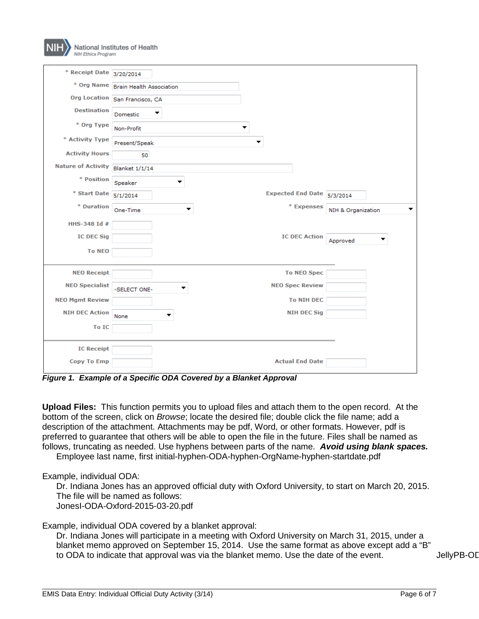| NIH Ethics Program              |                                     |                                        |                         |
|---------------------------------|-------------------------------------|----------------------------------------|-------------------------|
| * Receipt Date 3/20/2014        |                                     |                                        |                         |
|                                 | * Org Name Brain Health Association |                                        |                         |
|                                 | Org Location San Francisco, CA      |                                        |                         |
| <b>Destination</b>              | Domestic                            |                                        |                         |
| * Org Type                      | Non-Profit                          | ▼                                      |                         |
| * Activity Type                 | Present/Speak                       |                                        |                         |
| <b>Activity Hours</b>           | 50                                  |                                        |                         |
| <b>Nature of Activity</b>       | Blanket 1/1/14                      |                                        |                         |
| * Position                      | Speaker                             |                                        |                         |
| * Start Date $\boxed{5/1/2014}$ |                                     | Expected End Date $\frac{1}{5/3/2014}$ |                         |
| * Duration                      | One-Time<br>▼                       | * Expenses                             | NIH & Organization<br>▼ |
| HHS-348 Id #                    |                                     |                                        |                         |
| <b>IC DEC Sig</b>               |                                     | <b>IC DEC Action</b>                   | Approved                |
| <b>To NEO</b>                   |                                     |                                        |                         |
|                                 |                                     |                                        |                         |
| <b>NEO Receipt</b>              |                                     | <b>To NEO Spec</b>                     |                         |
| <b>NEO Specialist</b>           | -SELECT ONE-                        | <b>NEO Spec Review</b>                 |                         |
| <b>NEO Mgmt Review</b>          |                                     | <b>To NIH DEC</b>                      |                         |
| <b>NIH DEC Action</b>           | None                                | <b>NIH DEC Sig</b>                     |                         |
| To IC                           |                                     |                                        |                         |
|                                 |                                     |                                        |                         |
| <b>IC Receipt</b>               |                                     |                                        |                         |
| <b>Copy To Emp</b>              |                                     | <b>Actual End Date</b>                 |                         |

*Figure 1. Example of a Specific ODA Covered by a Blanket Approval*

**Upload Files:** This function permits you to upload files and attach them to the open record. At the bottom of the screen, click on *Browse*; locate the desired file; double click the file name; add a description of the attachment. Attachments may be pdf, Word, or other formats. However, pdf is preferred to guarantee that others will be able to open the file in the future. Files shall be named as follows, truncating as needed. Use hyphens between parts of the name. *Avoid using blank spaces.*

Employee last name, first initial-hyphen-ODA-hyphen-OrgName-hyphen-startdate.pdf

## Example, individual ODA:

NIH National Institutes of Health

Dr. Indiana Jones has an approved official duty with Oxford University, to start on March 20, 2015. The file will be named as follows: JonesI-ODA-Oxford-2015-03-20.pdf

Example, individual ODA covered by a blanket approval:

Dr. Indiana Jones will participate in a meeting with Oxford University on March 31, 2015, under a blanket memo approved on September 15, 2014. Use the same format as above except add a "B" to ODA to indicate that approval was via the blanket memo. Use the date of the event. JellyPB-OD